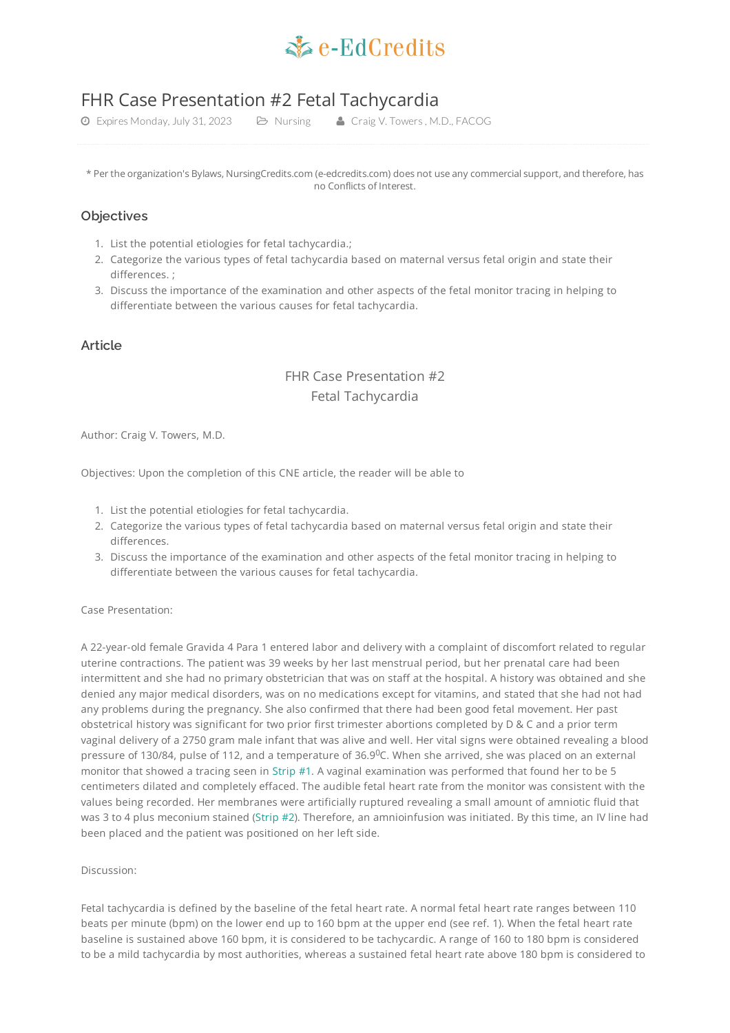

# FHR Case Presentation #2 Fetal Tachycardia

Expires Monday, July 31, 2023 Nursing Craig V. Towers , M.D., FACOG

\* Per the organization's Bylaws, NursingCredits.com (e-edcredits.com) does not use any commercial support, and therefore, has no Conflicts of Interest.

### **Objectives**

- 1. List the potential etiologies for fetal tachycardia.;
- 2. Categorize the various types of fetal tachycardia based on maternal versus fetal origin and state their differences. ;
- 3. Discuss the importance of the examination and other aspects of the fetal monitor tracing in helping to differentiate between the various causes for fetal tachycardia.

# **Article**

# FHR Case Presentation #2 Fetal Tachycardia

Author: Craig V. Towers, M.D.

Objectives: Upon the completion of this CNE article, the reader will be able to

- 1. List the potential etiologies for fetal tachycardia.
- 2. Categorize the various types of fetal tachycardia based on maternal versus fetal origin and state their differences.
- 3. Discuss the importance of the examination and other aspects of the fetal monitor tracing in helping to differentiate between the various causes for fetal tachycardia.

Case Presentation:

A 22-year-old female Gravida 4 Para 1 entered labor and delivery with a complaint of discomfort related to regular uterine contractions. The patient was 39 weeks by her last menstrual period, but her prenatal care had been intermittent and she had no primary obstetrician that was on staff at the hospital. A history was obtained and she denied any major medical disorders, was on no medications except for vitamins, and stated that she had not had any problems during the pregnancy. She also confirmed that there had been good fetal movement. Her past obstetrical history was significant for two prior first trimester abortions completed by D & C and a prior term vaginal delivery of a 2750 gram male infant that was alive and well. Her vital signs were obtained revealing a blood pressure of 130/84, pulse of 112, and a temperature of 36.9 $^{\rm O}$ C. When she arrived, she was placed on an external monitor that showed a tracing seen in [Strip](#page-4-0) #1. A vaginal examination was performed that found her to be 5 centimeters dilated and completely effaced. The audible fetal heart rate from the monitor was consistent with the values being recorded. Her membranes were artificially ruptured revealing a small amount of amniotic fluid that was 3 to 4 plus meconium stained [\(Strip](#page-4-1) #2). Therefore, an amnioinfusion was initiated. By this time, an IV line had been placed and the patient was positioned on her left side.

#### Discussion:

Fetal tachycardia is defined by the baseline of the fetal heart rate. A normal fetal heart rate ranges between 110 beats per minute (bpm) on the lower end up to 160 bpm at the upper end (see ref. 1). When the fetal heart rate baseline is sustained above 160 bpm, it is considered to be tachycardic. A range of 160 to 180 bpm is considered to be a mild tachycardia by most authorities, whereas a sustained fetal heart rate above 180 bpm is considered to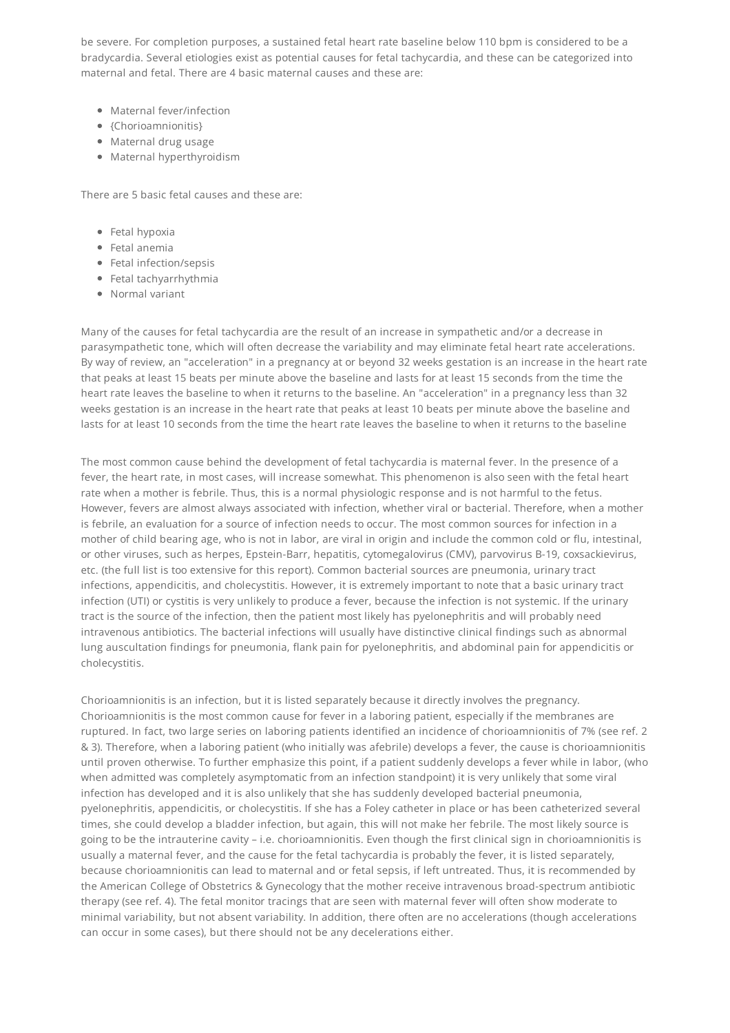be severe. For completion purposes, a sustained fetal heart rate baseline below 110 bpm is considered to be a bradycardia. Several etiologies exist as potential causes for fetal tachycardia, and these can be categorized into maternal and fetal. There are 4 basic maternal causes and these are:

- Maternal fever/infection
- {Chorioamnionitis}
- Maternal drug usage
- Maternal hyperthyroidism

There are 5 basic fetal causes and these are:

- Fetal hypoxia
- Fetal anemia
- Fetal infection/sepsis
- Fetal tachyarrhythmia
- Normal variant

Many of the causes for fetal tachycardia are the result of an increase in sympathetic and/or a decrease in parasympathetic tone, which will often decrease the variability and may eliminate fetal heart rate accelerations. By way of review, an "acceleration" in a pregnancy at or beyond 32 weeks gestation is an increase in the heart rate that peaks at least 15 beats per minute above the baseline and lasts for at least 15 seconds from the time the heart rate leaves the baseline to when it returns to the baseline. An "acceleration" in a pregnancy less than 32 weeks gestation is an increase in the heart rate that peaks at least 10 beats per minute above the baseline and lasts for at least 10 seconds from the time the heart rate leaves the baseline to when it returns to the baseline

The most common cause behind the development of fetal tachycardia is maternal fever. In the presence of a fever, the heart rate, in most cases, will increase somewhat. This phenomenon is also seen with the fetal heart rate when a mother is febrile. Thus, this is a normal physiologic response and is not harmful to the fetus. However, fevers are almost always associated with infection, whether viral or bacterial. Therefore, when a mother is febrile, an evaluation for a source of infection needs to occur. The most common sources for infection in a mother of child bearing age, who is not in labor, are viral in origin and include the common cold or flu, intestinal, or other viruses, such as herpes, Epstein-Barr, hepatitis, cytomegalovirus (CMV), parvovirus B-19, coxsackievirus, etc. (the full list is too extensive for this report). Common bacterial sources are pneumonia, urinary tract infections, appendicitis, and cholecystitis. However, it is extremely important to note that a basic urinary tract infection (UTI) or cystitis is very unlikely to produce a fever, because the infection is not systemic. If the urinary tract is the source of the infection, then the patient most likely has pyelonephritis and will probably need intravenous antibiotics. The bacterial infections will usually have distinctive clinical findings such as abnormal lung auscultation findings for pneumonia, flank pain for pyelonephritis, and abdominal pain for appendicitis or cholecystitis.

Chorioamnionitis is an infection, but it is listed separately because it directly involves the pregnancy. Chorioamnionitis is the most common cause for fever in a laboring patient, especially if the membranes are ruptured. In fact, two large series on laboring patients identified an incidence of chorioamnionitis of 7% (see ref. 2 & 3). Therefore, when a laboring patient (who initially was afebrile) develops a fever, the cause is chorioamnionitis until proven otherwise. To further emphasize this point, if a patient suddenly develops a fever while in labor, (who when admitted was completely asymptomatic from an infection standpoint) it is very unlikely that some viral infection has developed and it is also unlikely that she has suddenly developed bacterial pneumonia, pyelonephritis, appendicitis, or cholecystitis. If she has a Foley catheter in place or has been catheterized several times, she could develop a bladder infection, but again, this will not make her febrile. The most likely source is going to be the intrauterine cavity – i.e. chorioamnionitis. Even though the first clinical sign in chorioamnionitis is usually a maternal fever, and the cause for the fetal tachycardia is probably the fever, it is listed separately, because chorioamnionitis can lead to maternal and or fetal sepsis, if left untreated. Thus, it is recommended by the American College of Obstetrics & Gynecology that the mother receive intravenous broad-spectrum antibiotic therapy (see ref. 4). The fetal monitor tracings that are seen with maternal fever will often show moderate to minimal variability, but not absent variability. In addition, there often are no accelerations (though accelerations can occur in some cases), but there should not be any decelerations either.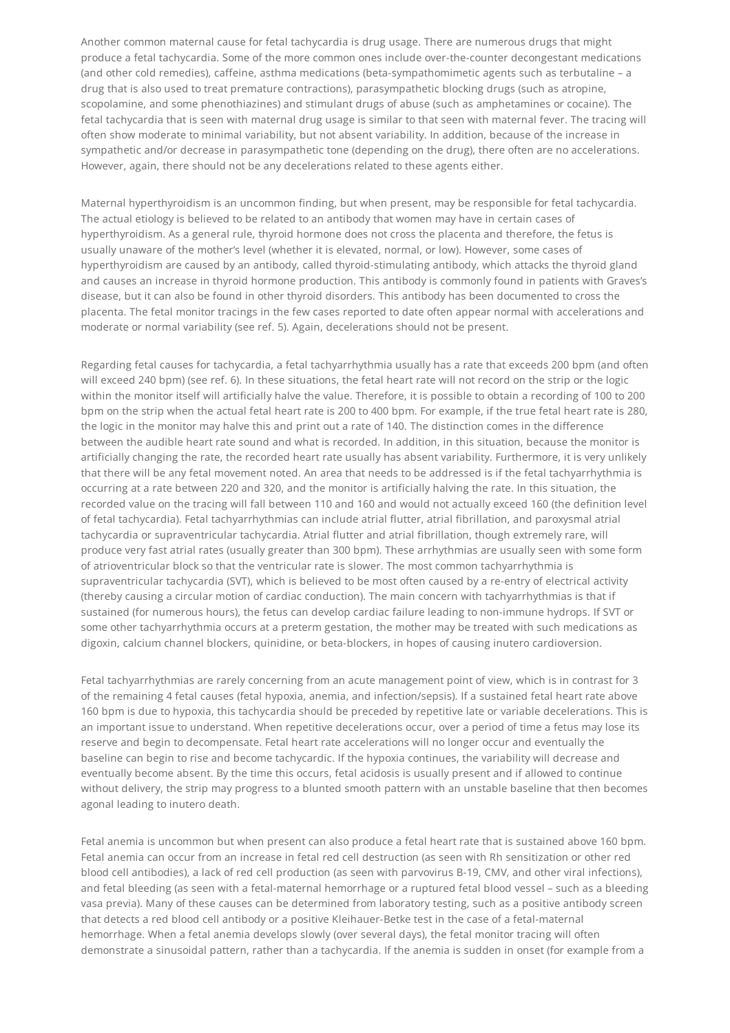Another common maternal cause for fetal tachycardia is drug usage. There are numerous drugs that might produce a fetal tachycardia. Some of the more common ones include over-the-counter decongestant medications (and other cold remedies), caffeine, asthma medications (beta-sympathomimetic agents such as terbutaline – a drug that is also used to treat premature contractions), parasympathetic blocking drugs (such as atropine, scopolamine, and some phenothiazines) and stimulant drugs of abuse (such as amphetamines or cocaine). The fetal tachycardia that is seen with maternal drug usage is similar to that seen with maternal fever. The tracing will often show moderate to minimal variability, but not absent variability. In addition, because of the increase in sympathetic and/or decrease in parasympathetic tone (depending on the drug), there often are no accelerations. However, again, there should not be any decelerations related to these agents either.

Maternal hyperthyroidism is an uncommon finding, but when present, may be responsible for fetal tachycardia. The actual etiology is believed to be related to an antibody that women may have in certain cases of hyperthyroidism. As a general rule, thyroid hormone does not cross the placenta and therefore, the fetus is usually unaware of the mother's level (whether it is elevated, normal, or low). However, some cases of hyperthyroidism are caused by an antibody, called thyroid-stimulating antibody, which attacks the thyroid gland and causes an increase in thyroid hormone production. This antibody is commonly found in patients with Graves's disease, but it can also be found in other thyroid disorders. This antibody has been documented to cross the placenta. The fetal monitor tracings in the few cases reported to date often appear normal with accelerations and moderate or normal variability (see ref. 5). Again, decelerations should not be present.

Regarding fetal causes for tachycardia, a fetal tachyarrhythmia usually has a rate that exceeds 200 bpm (and often will exceed 240 bpm) (see ref. 6). In these situations, the fetal heart rate will not record on the strip or the logic within the monitor itself will artificially halve the value. Therefore, it is possible to obtain a recording of 100 to 200 bpm on the strip when the actual fetal heart rate is 200 to 400 bpm. For example, if the true fetal heart rate is 280, the logic in the monitor may halve this and print out a rate of 140. The distinction comes in the difference between the audible heart rate sound and what is recorded. In addition, in this situation, because the monitor is artificially changing the rate, the recorded heart rate usually has absent variability. Furthermore, it is very unlikely that there will be any fetal movement noted. An area that needs to be addressed is if the fetal tachyarrhythmia is occurring at a rate between 220 and 320, and the monitor is artificially halving the rate. In this situation, the recorded value on the tracing will fall between 110 and 160 and would not actually exceed 160 (the definition level of fetal tachycardia). Fetal tachyarrhythmias can include atrial flutter, atrial fibrillation, and paroxysmal atrial tachycardia or supraventricular tachycardia. Atrial flutter and atrial fibrillation, though extremely rare, will produce very fast atrial rates (usually greater than 300 bpm). These arrhythmias are usually seen with some form of atrioventricular block so that the ventricular rate is slower. The most common tachyarrhythmia is supraventricular tachycardia (SVT), which is believed to be most often caused by a re-entry of electrical activity (thereby causing a circular motion of cardiac conduction). The main concern with tachyarrhythmias is that if sustained (for numerous hours), the fetus can develop cardiac failure leading to non-immune hydrops. If SVT or some other tachyarrhythmia occurs at a preterm gestation, the mother may be treated with such medications as digoxin, calcium channel blockers, quinidine, or beta-blockers, in hopes of causing inutero cardioversion.

Fetal tachyarrhythmias are rarely concerning from an acute management point of view, which is in contrast for 3 of the remaining 4 fetal causes (fetal hypoxia, anemia, and infection/sepsis). If a sustained fetal heart rate above 160 bpm is due to hypoxia, this tachycardia should be preceded by repetitive late or variable decelerations. This is an important issue to understand. When repetitive decelerations occur, over a period of time a fetus may lose its reserve and begin to decompensate. Fetal heart rate accelerations will no longer occur and eventually the baseline can begin to rise and become tachycardic. If the hypoxia continues, the variability will decrease and eventually become absent. By the time this occurs, fetal acidosis is usually present and if allowed to continue without delivery, the strip may progress to a blunted smooth pattern with an unstable baseline that then becomes agonal leading to inutero death.

Fetal anemia is uncommon but when present can also produce a fetal heart rate that is sustained above 160 bpm. Fetal anemia can occur from an increase in fetal red cell destruction (as seen with Rh sensitization or other red blood cell antibodies), a lack of red cell production (as seen with parvovirus B-19, CMV, and other viral infections), and fetal bleeding (as seen with a fetal-maternal hemorrhage or a ruptured fetal blood vessel – such as a bleeding vasa previa). Many of these causes can be determined from laboratory testing, such as a positive antibody screen that detects a red blood cell antibody or a positive Kleihauer-Betke test in the case of a fetal-maternal hemorrhage. When a fetal anemia develops slowly (over several days), the fetal monitor tracing will often demonstrate a sinusoidal pattern, rather than a tachycardia. If the anemia is sudden in onset (for example from a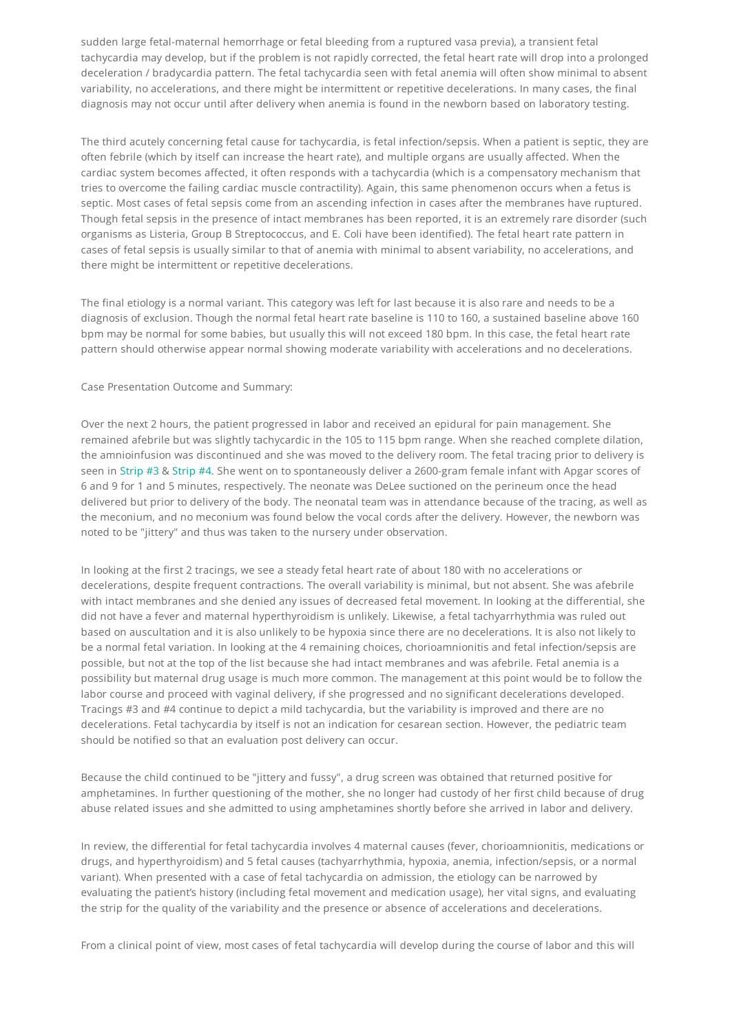sudden large fetal-maternal hemorrhage or fetal bleeding from a ruptured vasa previa), a transient fetal tachycardia may develop, but if the problem is not rapidly corrected, the fetal heart rate will drop into a prolonged deceleration / bradycardia pattern. The fetal tachycardia seen with fetal anemia will often show minimal to absent variability, no accelerations, and there might be intermittent or repetitive decelerations. In many cases, the final diagnosis may not occur until after delivery when anemia is found in the newborn based on laboratory testing.

The third acutely concerning fetal cause for tachycardia, is fetal infection/sepsis. When a patient is septic, they are often febrile (which by itself can increase the heart rate), and multiple organs are usually affected. When the cardiac system becomes affected, it often responds with a tachycardia (which is a compensatory mechanism that tries to overcome the failing cardiac muscle contractility). Again, this same phenomenon occurs when a fetus is septic. Most cases of fetal sepsis come from an ascending infection in cases after the membranes have ruptured. Though fetal sepsis in the presence of intact membranes has been reported, it is an extremely rare disorder (such organisms as Listeria, Group B Streptococcus, and E. Coli have been identified). The fetal heart rate pattern in cases of fetal sepsis is usually similar to that of anemia with minimal to absent variability, no accelerations, and there might be intermittent or repetitive decelerations.

The final etiology is a normal variant. This category was left for last because it is also rare and needs to be a diagnosis of exclusion. Though the normal fetal heart rate baseline is 110 to 160, a sustained baseline above 160 bpm may be normal for some babies, but usually this will not exceed 180 bpm. In this case, the fetal heart rate pattern should otherwise appear normal showing moderate variability with accelerations and no decelerations.

### Case Presentation Outcome and Summary:

Over the next 2 hours, the patient progressed in labor and received an epidural for pain management. She remained afebrile but was slightly tachycardic in the 105 to 115 bpm range. When she reached complete dilation, the amnioinfusion was discontinued and she was moved to the delivery room. The fetal tracing prior to delivery is seen in [Strip](#page-5-0) #3 & [Strip](#page-5-1) #4. She went on to spontaneously deliver a 2600-gram female infant with Apgar scores of 6 and 9 for 1 and 5 minutes, respectively. The neonate was DeLee suctioned on the perineum once the head delivered but prior to delivery of the body. The neonatal team was in attendance because of the tracing, as well as the meconium, and no meconium was found below the vocal cords after the delivery. However, the newborn was noted to be "jittery" and thus was taken to the nursery under observation.

In looking at the first 2 tracings, we see a steady fetal heart rate of about 180 with no accelerations or decelerations, despite frequent contractions. The overall variability is minimal, but not absent. She was afebrile with intact membranes and she denied any issues of decreased fetal movement. In looking at the differential, she did not have a fever and maternal hyperthyroidism is unlikely. Likewise, a fetal tachyarrhythmia was ruled out based on auscultation and it is also unlikely to be hypoxia since there are no decelerations. It is also not likely to be a normal fetal variation. In looking at the 4 remaining choices, chorioamnionitis and fetal infection/sepsis are possible, but not at the top of the list because she had intact membranes and was afebrile. Fetal anemia is a possibility but maternal drug usage is much more common. The management at this point would be to follow the labor course and proceed with vaginal delivery, if she progressed and no significant decelerations developed. Tracings #3 and #4 continue to depict a mild tachycardia, but the variability is improved and there are no decelerations. Fetal tachycardia by itself is not an indication for cesarean section. However, the pediatric team should be notified so that an evaluation post delivery can occur.

Because the child continued to be "jittery and fussy", a drug screen was obtained that returned positive for amphetamines. In further questioning of the mother, she no longer had custody of her first child because of drug abuse related issues and she admitted to using amphetamines shortly before she arrived in labor and delivery.

In review, the differential for fetal tachycardia involves 4 maternal causes (fever, chorioamnionitis, medications or drugs, and hyperthyroidism) and 5 fetal causes (tachyarrhythmia, hypoxia, anemia, infection/sepsis, or a normal variant). When presented with a case of fetal tachycardia on admission, the etiology can be narrowed by evaluating the patient's history (including fetal movement and medication usage), her vital signs, and evaluating the strip for the quality of the variability and the presence or absence of accelerations and decelerations.

From a clinical point of view, most cases of fetal tachycardia will develop during the course of labor and this will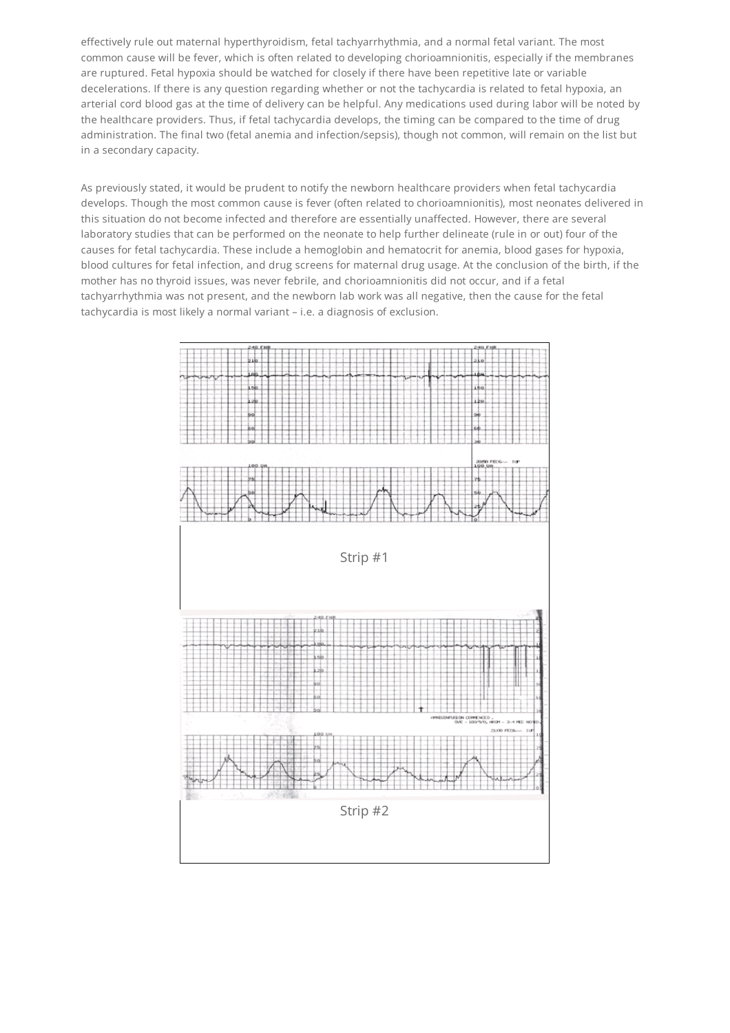effectively rule out maternal hyperthyroidism, fetal tachyarrhythmia, and a normal fetal variant. The most common cause will be fever, which is often related to developing chorioamnionitis, especially if the membranes are ruptured. Fetal hypoxia should be watched for closely if there have been repetitive late or variable decelerations. If there is any question regarding whether or not the tachycardia is related to fetal hypoxia, an arterial cord blood gas at the time of delivery can be helpful. Any medications used during labor will be noted by the healthcare providers. Thus, if fetal tachycardia develops, the timing can be compared to the time of drug administration. The final two (fetal anemia and infection/sepsis), though not common, will remain on the list but in a secondary capacity.

As previously stated, it would be prudent to notify the newborn healthcare providers when fetal tachycardia develops. Though the most common cause is fever (often related to chorioamnionitis), most neonates delivered in this situation do not become infected and therefore are essentially unaffected. However, there are several laboratory studies that can be performed on the neonate to help further delineate (rule in or out) four of the causes for fetal tachycardia. These include a hemoglobin and hematocrit for anemia, blood gases for hypoxia, blood cultures for fetal infection, and drug screens for maternal drug usage. At the conclusion of the birth, if the mother has no thyroid issues, was never febrile, and chorioamnionitis did not occur, and if a fetal tachyarrhythmia was not present, and the newborn lab work was all negative, then the cause for the fetal tachycardia is most likely a normal variant – i.e. a diagnosis of exclusion.

<span id="page-4-1"></span><span id="page-4-0"></span>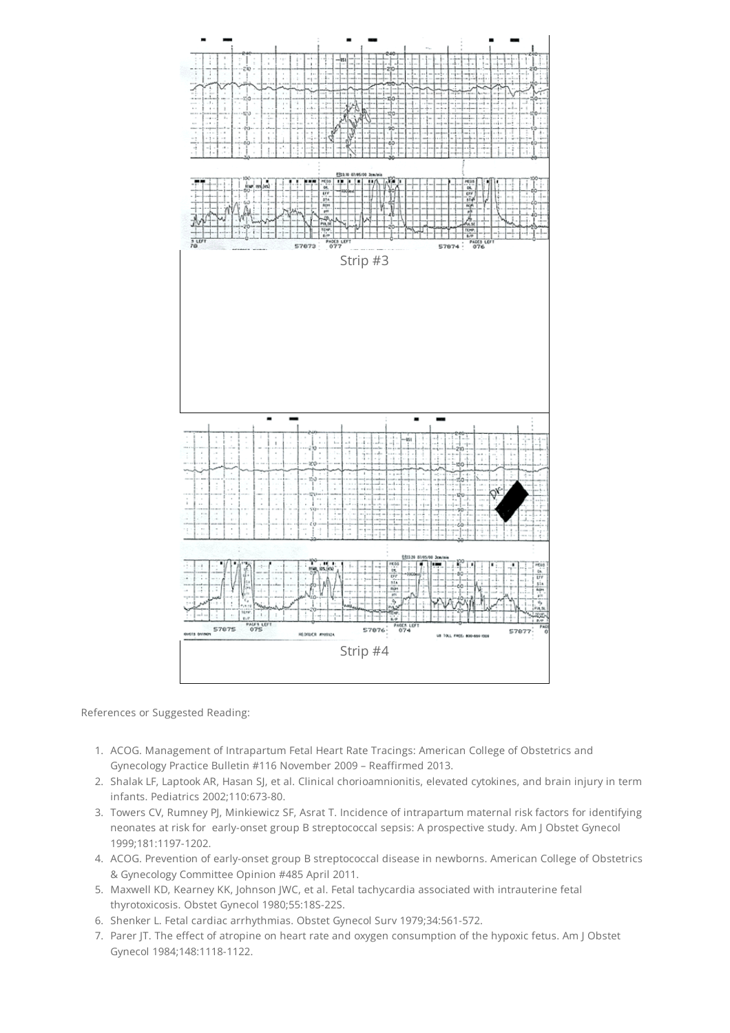<span id="page-5-0"></span>

<span id="page-5-1"></span>References or Suggested Reading:

- 1. ACOG. Management of Intrapartum Fetal Heart Rate Tracings: American College of Obstetrics and Gynecology Practice Bulletin #116 November 2009 – Reaffirmed 2013.
- 2. Shalak LF, Laptook AR, Hasan SJ, et al. Clinical chorioamnionitis, elevated cytokines, and brain injury in term infants. Pediatrics 2002;110:673-80.
- 3. Towers CV, Rumney PJ, Minkiewicz SF, Asrat T. Incidence of intrapartum maternal risk factors for identifying neonates at risk for early-onset group B streptococcal sepsis: A prospective study. Am J Obstet Gynecol 1999;181:1197-1202.
- 4. ACOG. Prevention of early-onset group B streptococcal disease in newborns. American College of Obstetrics & Gynecology Committee Opinion #485 April 2011.
- 5. Maxwell KD, Kearney KK, Johnson JWC, et al. Fetal tachycardia associated with intrauterine fetal thyrotoxicosis. Obstet Gynecol 1980;55:18S-22S.
- 6. Shenker L. Fetal cardiac arrhythmias. Obstet Gynecol Surv 1979;34:561-572.
- 7. Parer JT. The effect of atropine on heart rate and oxygen consumption of the hypoxic fetus. Am J Obstet Gynecol 1984;148:1118-1122.